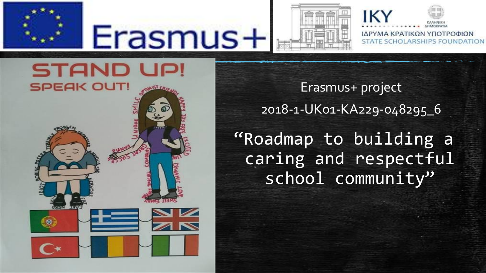

# Erasmus+



IK ΙΔΡΥΜΑ ΚΡΑΤΙΚΩΝ ΥΠΟΤΡΟΦΙΩΝ **STATE SCHOLARSHIPS FOUNDATION** 

**STAND UP! SPEAK OUT!** 

Erasmus+ project 2018-1-UK01-KA229-048295\_6 "Roadmap to building a caring and respectful school community"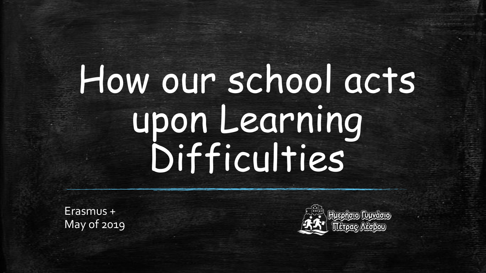## How our school acts upon Learning Difficulties

Erasmus + May of 2019

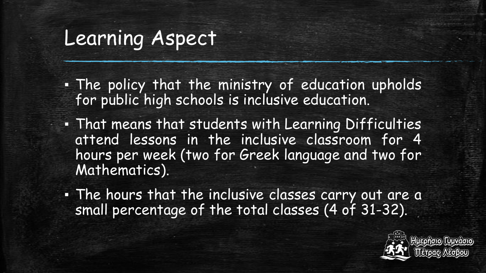- The policy that the ministry of education upholds for public high schools is inclusive education.
- That means that students with Learning Difficulties attend lessons in the inclusive classroom for 4 hours per week (two for Greek language and two for Mathematics).
- The hours that the inclusive classes carry out are a small percentage of the total classes (4 of 31-32).

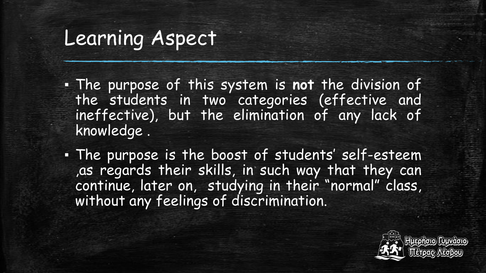- The purpose of this system is **not** the division of the students in two categories (effective and ineffective), but the elimination of any lack of knowledge .
- The purpose is the boost of students' self-esteem ,as regards their skills, in such way that they can continue, later on, studying in their "normal" class, without any feelings of discrimination.

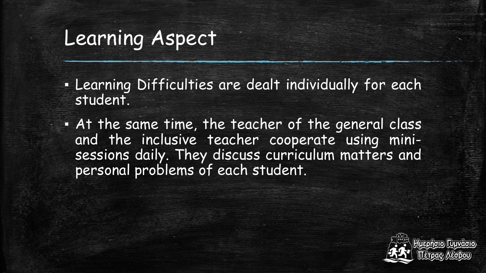- **.** Learning Difficulties are dealt individually for each student.
- . At the same time, the teacher of the general class and the inclusive teacher cooperate using minisessions daily. They discuss curriculum matters and personal problems of each student.

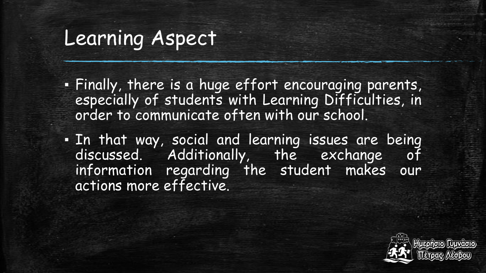- Finally, there is a huge effort encouraging parents, especially of students with Learning Difficulties, in order to communicate often with our school.
- In that way, social and learning issues are being discussed. Additionally, the exchange of information regarding the student makes our actions more effective.

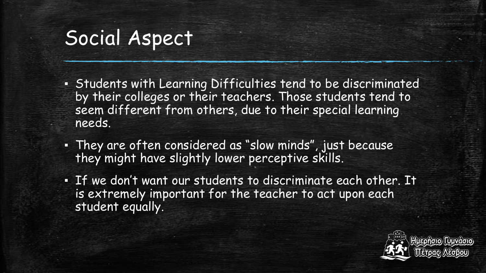- Students with Learning Difficulties tend to be discriminated by their colleges or their teachers. Those students tend to seem different from others, due to their special learning needs.
- They are often considered as "slow minds", just because they might have slightly lower perceptive skills.
- If we don't want our students to discriminate each other. It is extremely important for the teacher to act upon each student equally.

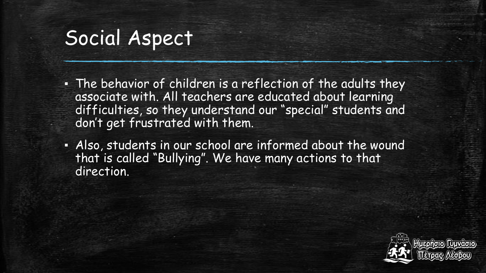- **· The behavior of children is a reflection of the adults they** associate with. All teachers are educated about learning difficulties, so they understand our "special" students and don't get frustrated with them.
- Also, students in our school are informed about the wound that is called "Bullying". We have many actions to that direction.

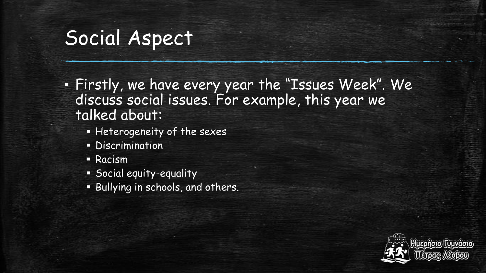▪ Firstly, we have every year the "Issues Week". We discuss social issues. For example, this year we talked about:

- **Heterogeneity of the sexes**
- **-** Discrimination
- Racism
- Social equity-equality
- Bullying in schools, and others.

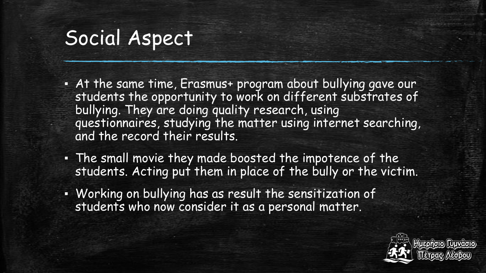- At the same time, Erasmus+ program about bullying gave our students the opportunity to work on different substrates of bullying. They are doing quality research, using questionnaires, studying the matter using internet searching, and the record their results.
- The small movie they made boosted the impotence of the students. Acting put them in place of the bully or the victim.
- Working on bullying has as result the sensitization of students who now consider it as a personal matter.

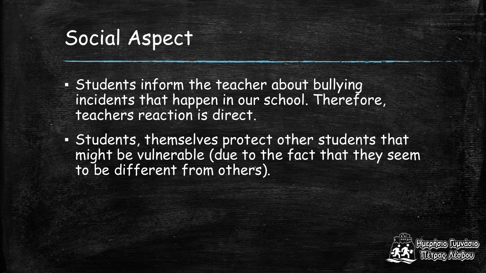- Students inform the teacher about bullying incidents that happen in our school. Therefore, teachers reaction is direct.
- Students, themselves protect other students that might be vulnerable (due to the fact that they seem to be different from others).

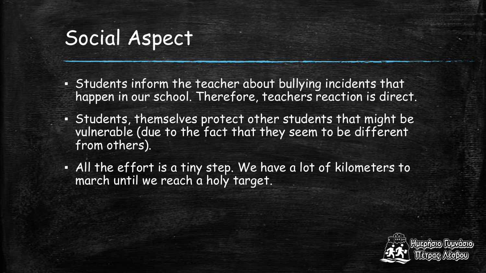- Students inform the teacher about bullying incidents that happen in our school. Therefore, teachers reaction is direct.
- Students, themselves protect other students that might be vulnerable (due to the fact that they seem to be different from others).
- All the effort is a tiny step. We have a lot of kilometers to march until we reach a holy target.